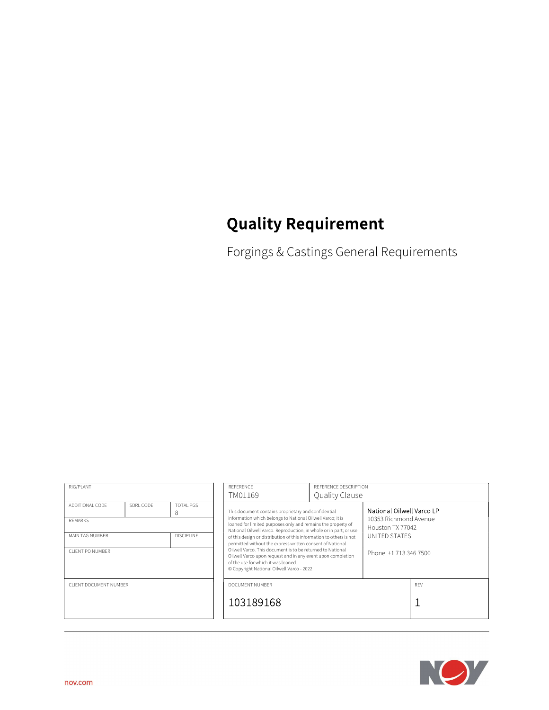# Quality Requirement

Forgings & Castings General Requirements

| RIG/PLANT                            |           | REFERENCE<br>REFERENCE DESCRIPTION                                                                                                                                                                            |                                                                                                                                                                                                                                                                                                                                     |                       |                                                            |  |
|--------------------------------------|-----------|---------------------------------------------------------------------------------------------------------------------------------------------------------------------------------------------------------------|-------------------------------------------------------------------------------------------------------------------------------------------------------------------------------------------------------------------------------------------------------------------------------------------------------------------------------------|-----------------------|------------------------------------------------------------|--|
|                                      |           | TM01169                                                                                                                                                                                                       | Quality Clause                                                                                                                                                                                                                                                                                                                      |                       |                                                            |  |
| ADDITIONAL CODE                      | SDRL CODE | TOTAL PGS<br>8                                                                                                                                                                                                | This document contains proprietary and confidential                                                                                                                                                                                                                                                                                 |                       | National Oilwell Varco LP                                  |  |
| <b>REMARKS</b>                       |           |                                                                                                                                                                                                               | information which belongs to National Oilwell Varco; it is<br>loaned for limited purposes only and remains the property of<br>National Oilwell Varco. Reproduction, in whole or in part; or use<br>of this design or distribution of this information to others is not<br>permitted without the express written consent of National |                       | 10353 Richmond Avenue<br>Houston TX 77042<br>UNITED STATES |  |
| <b>DISCIPLINE</b><br>MAIN TAG NUMBER |           |                                                                                                                                                                                                               |                                                                                                                                                                                                                                                                                                                                     |                       |                                                            |  |
| <b>CLIENT PO NUMBER</b>              |           | Oilwell Varco. This document is to be returned to National<br>Oilwell Varco upon request and in any event upon completion<br>of the use for which it was loaned.<br>© Copyright National Oilwell Varco - 2022 |                                                                                                                                                                                                                                                                                                                                     | Phone +1 713 346 7500 |                                                            |  |
| CLIENT DOCUMENT NUMBER               |           | DOCUMENT NUMBER                                                                                                                                                                                               |                                                                                                                                                                                                                                                                                                                                     |                       | RFV                                                        |  |
|                                      |           | 103189168                                                                                                                                                                                                     |                                                                                                                                                                                                                                                                                                                                     |                       |                                                            |  |
|                                      |           |                                                                                                                                                                                                               |                                                                                                                                                                                                                                                                                                                                     |                       |                                                            |  |

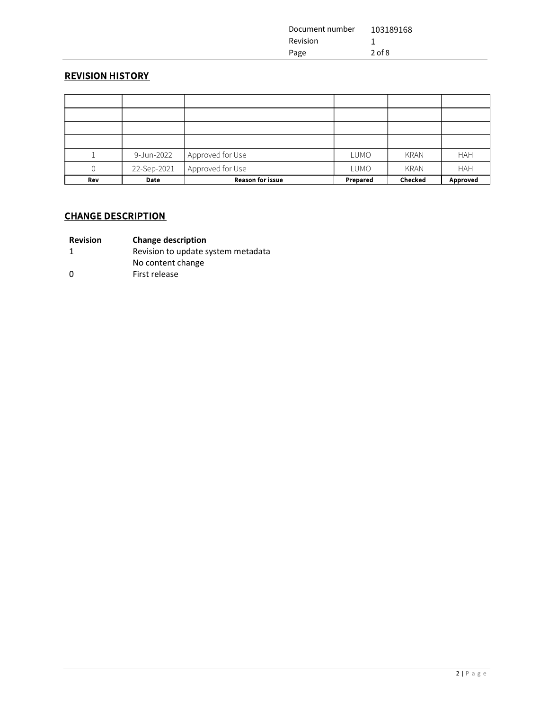| Document number | 103189168  |
|-----------------|------------|
| Revision        |            |
| Page            | $2$ of $8$ |

# REVISION HISTORY

|            | 9-Jun-2022  | Approved for Use        | LUMO     | <b>KRAN</b>    | <b>HAH</b>      |
|------------|-------------|-------------------------|----------|----------------|-----------------|
|            | 22-Sep-2021 | Approved for Use        | LUMO     | <b>KRAN</b>    | <b>HAH</b>      |
| <b>Rev</b> | Date        | <b>Reason for issue</b> | Prepared | <b>Checked</b> | <b>Approved</b> |

# CHANGE DESCRIPTION

| <b>Revision</b> | <b>Change description</b> |
|-----------------|---------------------------|
|-----------------|---------------------------|

1 Revision to update system metadata

- No content change
- 0 First release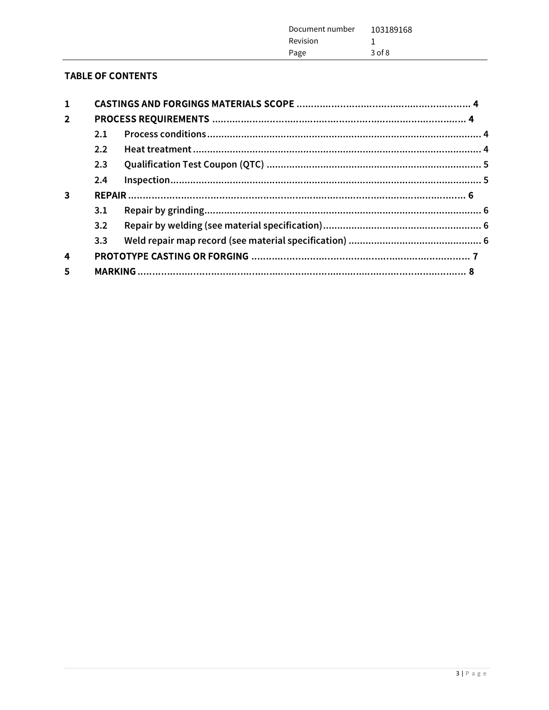| Document number | 103189168  |
|-----------------|------------|
| <b>Revision</b> |            |
| Page            | $3$ of $8$ |

# **TABLE OF CONTENTS**

| 1            |     |  |
|--------------|-----|--|
| $\mathbf{2}$ |     |  |
|              | 2.1 |  |
|              | 2.2 |  |
|              | 2.3 |  |
|              | 2.4 |  |
| 3            |     |  |
|              | 3.1 |  |
|              | 3.2 |  |
|              |     |  |
|              | 3.3 |  |
| 4            |     |  |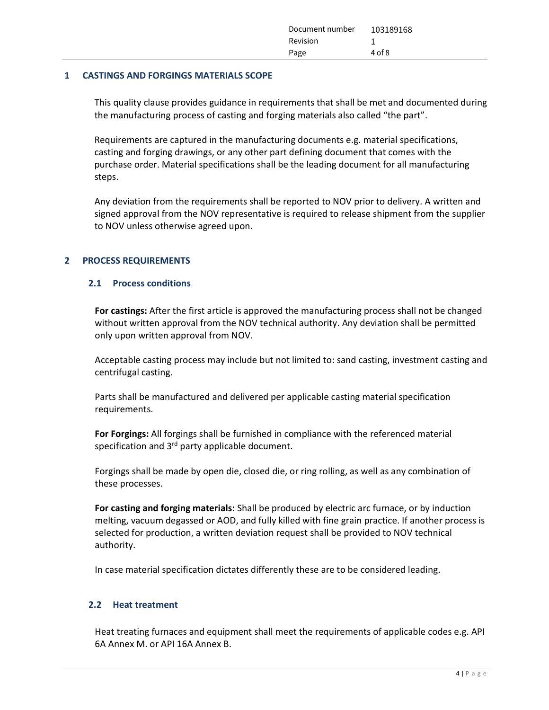| Document number<br>Revision | 103189168  |
|-----------------------------|------------|
| Page                        | $4$ of $8$ |

## 1 CASTINGS AND FORGINGS MATERIALS SCOPE

This quality clause provides guidance in requirements that shall be met and documented during the manufacturing process of casting and forging materials also called "the part".

Requirements are captured in the manufacturing documents e.g. material specifications, casting and forging drawings, or any other part defining document that comes with the purchase order. Material specifications shall be the leading document for all manufacturing steps.

Any deviation from the requirements shall be reported to NOV prior to delivery. A written and signed approval from the NOV representative is required to release shipment from the supplier to NOV unless otherwise agreed upon.

# 2 PROCESS REQUIREMENTS

## 2.1 Process conditions

For castings: After the first article is approved the manufacturing process shall not be changed without written approval from the NOV technical authority. Any deviation shall be permitted only upon written approval from NOV.

Acceptable casting process may include but not limited to: sand casting, investment casting and centrifugal casting.

Parts shall be manufactured and delivered per applicable casting material specification requirements.

For Forgings: All forgings shall be furnished in compliance with the referenced material specification and  $3<sup>rd</sup>$  party applicable document.

Forgings shall be made by open die, closed die, or ring rolling, as well as any combination of these processes.

For casting and forging materials: Shall be produced by electric arc furnace, or by induction melting, vacuum degassed or AOD, and fully killed with fine grain practice. If another process is selected for production, a written deviation request shall be provided to NOV technical authority.

In case material specification dictates differently these are to be considered leading.

# 2.2 Heat treatment

Heat treating furnaces and equipment shall meet the requirements of applicable codes e.g. API 6A Annex M. or API 16A Annex B.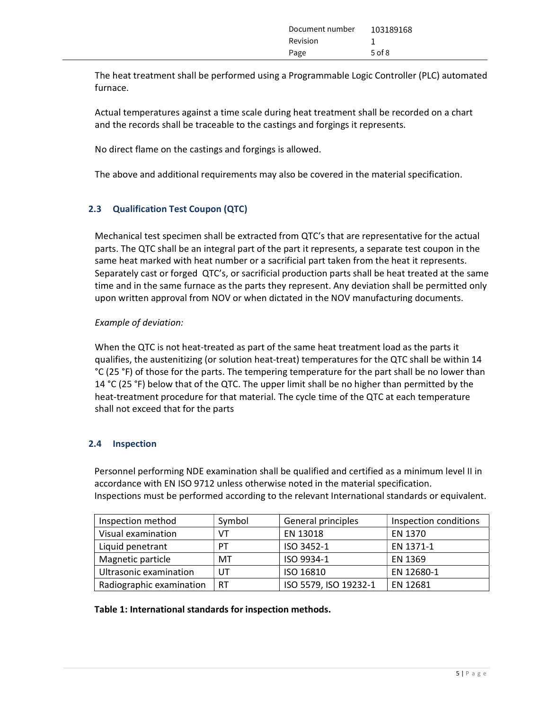| Document number 103189168 |            |
|---------------------------|------------|
| Revision                  |            |
| Page                      | $5$ of $8$ |

The heat treatment shall be performed using a Programmable Logic Controller (PLC) automated furnace.

Actual temperatures against a time scale during heat treatment shall be recorded on a chart and the records shall be traceable to the castings and forgings it represents.

No direct flame on the castings and forgings is allowed.

The above and additional requirements may also be covered in the material specification.

# 2.3 Qualification Test Coupon (QTC)

Mechanical test specimen shall be extracted from QTC's that are representative for the actual parts. The QTC shall be an integral part of the part it represents, a separate test coupon in the same heat marked with heat number or a sacrificial part taken from the heat it represents. Separately cast or forged QTC's, or sacrificial production parts shall be heat treated at the same time and in the same furnace as the parts they represent. Any deviation shall be permitted only upon written approval from NOV or when dictated in the NOV manufacturing documents.

# Example of deviation:

When the QTC is not heat-treated as part of the same heat treatment load as the parts it qualifies, the austenitizing (or solution heat-treat) temperatures for the QTC shall be within 14 °C (25 °F) of those for the parts. The tempering temperature for the part shall be no lower than 14 °C (25 °F) below that of the QTC. The upper limit shall be no higher than permitted by the heat-treatment procedure for that material. The cycle time of the QTC at each temperature shall not exceed that for the parts

# 2.4 Inspection

Personnel performing NDE examination shall be qualified and certified as a minimum level II in accordance with EN ISO 9712 unless otherwise noted in the material specification. Inspections must be performed according to the relevant International standards or equivalent.

| Inspection method        | Symbol    | General principles    | Inspection conditions |
|--------------------------|-----------|-----------------------|-----------------------|
| Visual examination       | VT        | EN 13018              | EN 1370               |
| Liquid penetrant         | РT        | ISO 3452-1            | EN 1371-1             |
| Magnetic particle        | MT        | ISO 9934-1            | EN 1369               |
| Ultrasonic examination   | UT        | ISO 16810             | EN 12680-1            |
| Radiographic examination | <b>RT</b> | ISO 5579, ISO 19232-1 | EN 12681              |

# Table 1: International standards for inspection methods.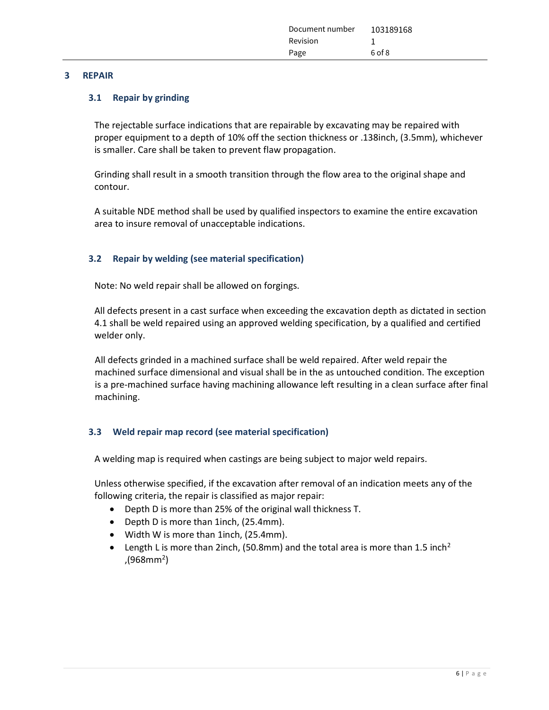| Document number | 103189168 |
|-----------------|-----------|
| Revision        |           |
| Page            | 6 of 8    |

#### 3 REPAIR

## 3.1 Repair by grinding

The rejectable surface indications that are repairable by excavating may be repaired with proper equipment to a depth of 10% off the section thickness or .138inch, (3.5mm), whichever is smaller. Care shall be taken to prevent flaw propagation.

Grinding shall result in a smooth transition through the flow area to the original shape and contour.

A suitable NDE method shall be used by qualified inspectors to examine the entire excavation area to insure removal of unacceptable indications.

# 3.2 Repair by welding (see material specification)

Note: No weld repair shall be allowed on forgings.

All defects present in a cast surface when exceeding the excavation depth as dictated in section 4.1 shall be weld repaired using an approved welding specification, by a qualified and certified welder only.

All defects grinded in a machined surface shall be weld repaired. After weld repair the machined surface dimensional and visual shall be in the as untouched condition. The exception is a pre-machined surface having machining allowance left resulting in a clean surface after final machining.

# 3.3 Weld repair map record (see material specification)

A welding map is required when castings are being subject to major weld repairs.

Unless otherwise specified, if the excavation after removal of an indication meets any of the following criteria, the repair is classified as major repair:

- Depth D is more than 25% of the original wall thickness T.
- Depth D is more than 1inch, (25.4mm).
- Width W is more than 1inch, (25.4mm).
- **•** Length L is more than 2inch, (50.8mm) and the total area is more than 1.5 inch<sup>2</sup> ,(968mm<sup>2</sup> )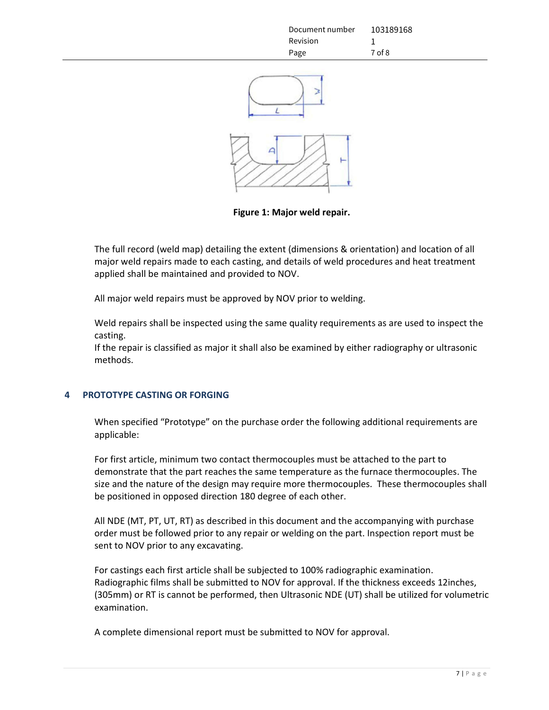| Document number | 103189168 |
|-----------------|-----------|
| Revision        |           |
| Page            | 7 of 8    |



Figure 1: Major weld repair.

The full record (weld map) detailing the extent (dimensions & orientation) and location of all major weld repairs made to each casting, and details of weld procedures and heat treatment applied shall be maintained and provided to NOV.

All major weld repairs must be approved by NOV prior to welding.

Weld repairs shall be inspected using the same quality requirements as are used to inspect the casting.

If the repair is classified as major it shall also be examined by either radiography or ultrasonic methods.

# 4 PROTOTYPE CASTING OR FORGING

When specified "Prototype" on the purchase order the following additional requirements are applicable:

For first article, minimum two contact thermocouples must be attached to the part to demonstrate that the part reaches the same temperature as the furnace thermocouples. The size and the nature of the design may require more thermocouples. These thermocouples shall be positioned in opposed direction 180 degree of each other.

All NDE (MT, PT, UT, RT) as described in this document and the accompanying with purchase order must be followed prior to any repair or welding on the part. Inspection report must be sent to NOV prior to any excavating.

7 | P a g e For castings each first article shall be subjected to 100% radiographic examination. Radiographic films shall be submitted to NOV for approval. If the thickness exceeds 12inches, (305mm) or RT is cannot be performed, then Ultrasonic NDE (UT) shall be utilized for volumetric examination.

A complete dimensional report must be submitted to NOV for approval.